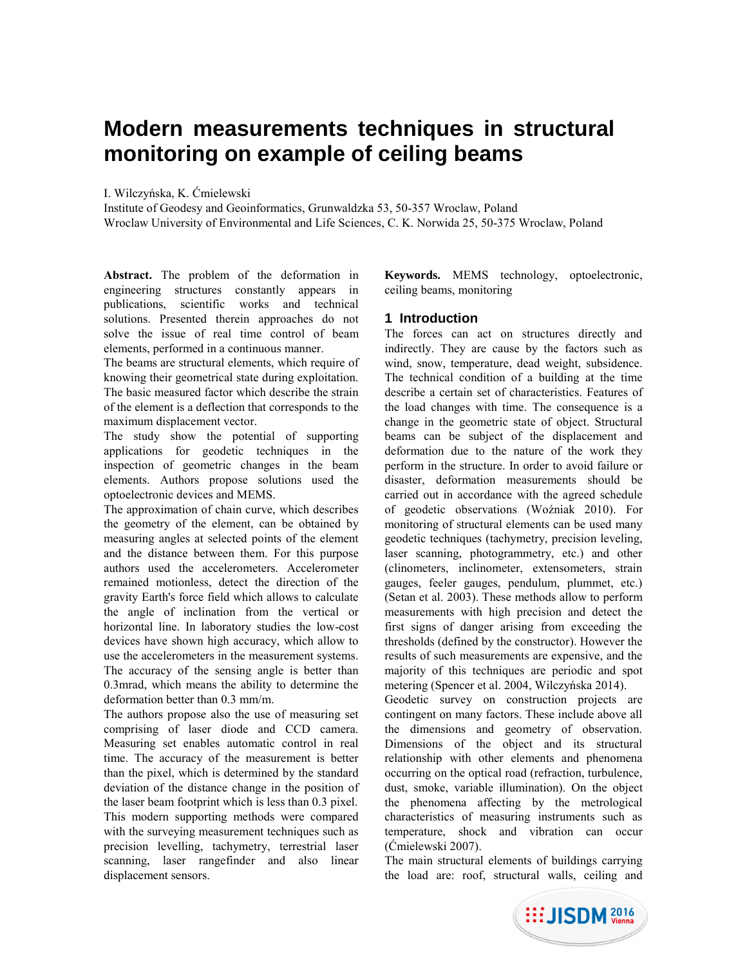# **Modern measurements techniques in structural monitoring on example of ceiling beams**

I. Wilczyńska, K. Ćmielewski

Institute of Geodesy and Geoinformatics, Grunwaldzka 53, 50-357 Wroclaw, Poland Wroclaw University of Environmental and Life Sciences, C. K. Norwida 25, 50-375 Wroclaw, Poland

**Abstract.** The problem of the deformation in engineering structures constantly appears in publications, scientific works and technical solutions. Presented therein approaches do not solve the issue of real time control of beam elements, performed in a continuous manner.

The beams are structural elements, which require of knowing their geometrical state during exploitation. The basic measured factor which describe the strain of the element is a deflection that corresponds to the maximum displacement vector.

The study show the potential of supporting applications for geodetic techniques in the inspection of geometric changes in the beam elements. Authors propose solutions used the optoelectronic devices and MEMS.

The approximation of chain curve, which describes the geometry of the element, can be obtained by measuring angles at selected points of the element and the distance between them. For this purpose authors used the accelerometers. Accelerometer remained motionless, detect the direction of the gravity Earth's force field which allows to calculate the angle of inclination from the vertical or horizontal line. In laboratory studies the low-cost devices have shown high accuracy, which allow to use the accelerometers in the measurement systems. The accuracy of the sensing angle is better than 0.3mrad, which means the ability to determine the deformation better than 0.3 mm/m.

The authors propose also the use of measuring set comprising of laser diode and CCD camera. Measuring set enables automatic control in real time. The accuracy of the measurement is better than the pixel, which is determined by the standard deviation of the distance change in the position of the laser beam footprint which is less than 0.3 pixel. This modern supporting methods were compared with the surveying measurement techniques such as precision levelling, tachymetry, terrestrial laser scanning, laser rangefinder and also linear displacement sensors.

**Keywords.** MEMS technology, optoelectronic, ceiling beams, monitoring

## **1 Introduction**

The forces can act on structures directly and indirectly. They are cause by the factors such as wind, snow, temperature, dead weight, subsidence. The technical condition of a building at the time describe a certain set of characteristics. Features of the load changes with time. The consequence is a change in the geometric state of object. Structural beams can be subject of the displacement and deformation due to the nature of the work they perform in the structure. In order to avoid failure or disaster, deformation measurements should be carried out in accordance with the agreed schedule of geodetic observations (Woźniak 2010). For monitoring of structural elements can be used many geodetic techniques (tachymetry, precision leveling, laser scanning, photogrammetry, etc.) and other (clinometers, inclinometer, extensometers, strain gauges, feeler gauges, pendulum, plummet, etc.) (Setan et al. 2003). These methods allow to perform measurements with high precision and detect the first signs of danger arising from exceeding the thresholds (defined by the constructor). However the results of such measurements are expensive, and the majority of this techniques are periodic and spot metering (Spencer et al. 2004, Wilczyńska 2014).

Geodetic survey on construction projects are contingent on many factors. These include above all the dimensions and geometry of observation. Dimensions of the object and its structural relationship with other elements and phenomena occurring on the optical road (refraction, turbulence, dust, smoke, variable illumination). On the object the phenomena affecting by the metrological characteristics of measuring instruments such as temperature, shock and vibration can occur (Ćmielewski 2007).

The main structural elements of buildings carrying the load are: roof, structural walls, ceiling and

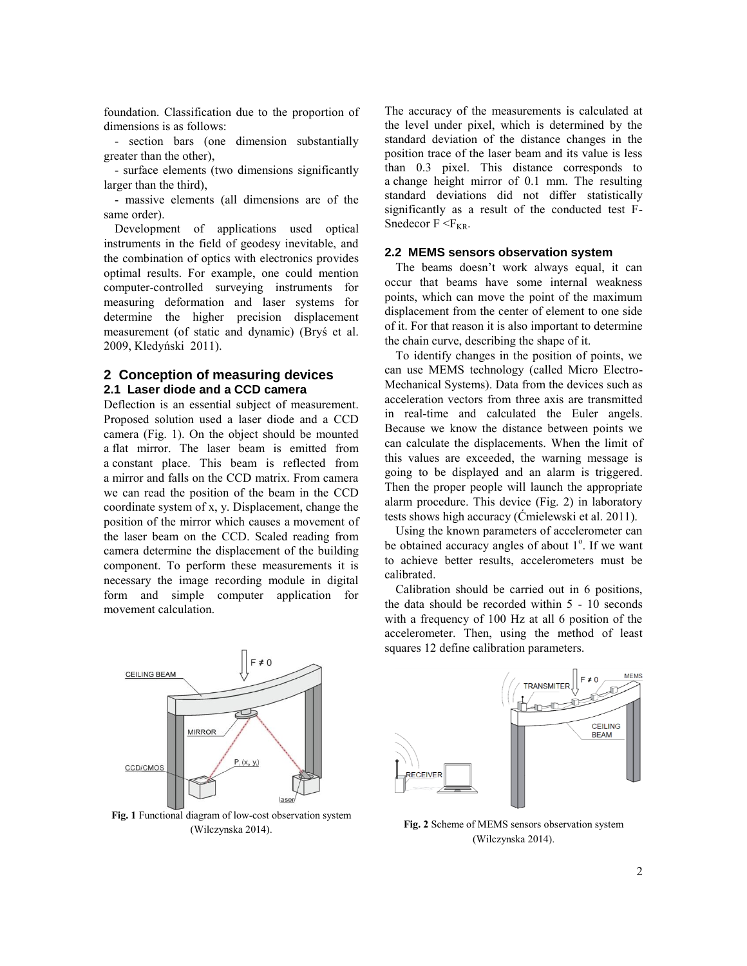foundation. Classification due to the proportion of dimensions is as follows:

- section bars (one dimension substantially greater than the other),

- surface elements (two dimensions significantly larger than the third),

- massive elements (all dimensions are of the same order).

Development of applications used optical instruments in the field of geodesy inevitable, and the combination of optics with electronics provides optimal results. For example, one could mention computer-controlled surveying instruments for measuring deformation and laser systems for determine the higher precision displacement measurement (of static and dynamic) (Bryś et al. 2009, Kledyński 2011).

## **2 Conception of measuring devices 2.1 Laser diode and a CCD camera**

Deflection is an essential subject of measurement. Proposed solution used a laser diode and a CCD camera (Fig. 1). On the object should be mounted a flat mirror. The laser beam is emitted from a constant place. This beam is reflected from a mirror and falls on the CCD matrix. From camera we can read the position of the beam in the CCD coordinate system of x, y. Displacement, change the position of the mirror which causes a movement of the laser beam on the CCD. Scaled reading from camera determine the displacement of the building component. To perform these measurements it is necessary the image recording module in digital form and simple computer application for movement calculation.

The accuracy of the measurements is calculated at the level under pixel, which is determined by the standard deviation of the distance changes in the position trace of the laser beam and its value is less than 0.3 pixel. This distance corresponds to a change height mirror of 0.1 mm. The resulting standard deviations did not differ statistically significantly as a result of the conducted test F-Snedecor  $F \leq F_{KR}$ .

#### **2.2 MEMS sensors observation system**

The beams doesn't work always equal, it can occur that beams have some internal weakness points, which can move the point of the maximum displacement from the center of element to one side of it. For that reason it is also important to determine the chain curve, describing the shape of it.

To identify changes in the position of points, we can use MEMS technology (called Micro Electro-Mechanical Systems). Data from the devices such as acceleration vectors from three axis are transmitted in real-time and calculated the Euler angels. Because we know the distance between points we can calculate the displacements. When the limit of this values are exceeded, the warning message is going to be displayed and an alarm is triggered. Then the proper people will launch the appropriate alarm procedure. This device (Fig. 2) in laboratory tests shows high accuracy (Ćmielewski et al. 2011).

Using the known parameters of accelerometer can be obtained accuracy angles of about  $1^\circ$ . If we want to achieve better results, accelerometers must be calibrated.

Calibration should be carried out in 6 positions, the data should be recorded within 5 - 10 seconds with a frequency of 100 Hz at all 6 position of the accelerometer. Then, using the method of least squares 12 define calibration parameters.



**Fig. 1** Functional diagram of low-cost observation system (Wilczynska 2014).



**Fig. 2** Scheme of MEMS sensors observation system (Wilczynska 2014).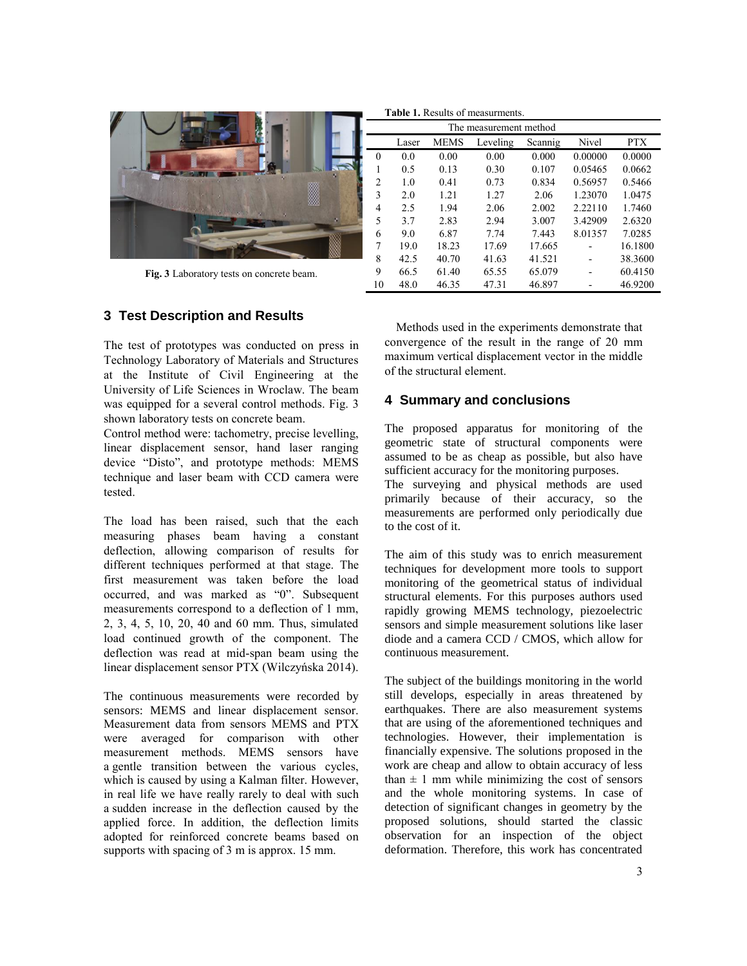

**Fig. 3** Laboratory tests on concrete beam.

# **3 Test Description and Results**

The test of prototypes was conducted on press in Technology Laboratory of Materials and Structures at the Institute of Civil Engineering at the University of Life Sciences in Wroclaw. The beam was equipped for a several control methods. Fig. 3 shown laboratory tests on concrete beam.

Control method were: tachometry, precise levelling, linear displacement sensor, hand laser ranging device "Disto", and prototype methods: MEMS technique and laser beam with CCD camera were tested.

The load has been raised, such that the each measuring phases beam having a constant deflection, allowing comparison of results for different techniques performed at that stage. The first measurement was taken before the load occurred, and was marked as "0". Subsequent measurements correspond to a deflection of 1 mm, 2, 3, 4, 5, 10, 20, 40 and 60 mm. Thus, simulated load continued growth of the component. The deflection was read at mid-span beam using the linear displacement sensor PTX (Wilczyńska 2014).

The continuous measurements were recorded by sensors: MEMS and linear displacement sensor. Measurement data from sensors MEMS and PTX were averaged for comparison with other measurement methods. MEMS sensors have a gentle transition between the various cycles, which is caused by using a Kalman filter. However, in real life we have really rarely to deal with such a sudden increase in the deflection caused by the applied force. In addition, the deflection limits adopted for reinforced concrete beams based on supports with spacing of 3 m is approx. 15 mm.

| <b>Table 1.</b> Results of measurments. |       |             |          |         |         |            |
|-----------------------------------------|-------|-------------|----------|---------|---------|------------|
| The measurement method                  |       |             |          |         |         |            |
|                                         | Laser | <b>MEMS</b> | Leveling | Scannig | Nivel   | <b>PTX</b> |
| $\theta$                                | 0.0   | 0.00        | 0.00     | 0.000   | 0.00000 | 0.0000     |
| 1                                       | 0.5   | 0.13        | 0.30     | 0.107   | 0.05465 | 0.0662     |
| $\overline{c}$                          | 1.0   | 0.41        | 0.73     | 0.834   | 0.56957 | 0.5466     |
| 3                                       | 2.0   | 1.21        | 1.27     | 2.06    | 1.23070 | 1.0475     |
| 4                                       | 2.5   | 1.94        | 2.06     | 2.002   | 2.22110 | 1.7460     |
| 5                                       | 3.7   | 2.83        | 2.94     | 3.007   | 3.42909 | 2.6320     |
| 6                                       | 9.0   | 6.87        | 7.74     | 7.443   | 8.01357 | 7.0285     |
| 7                                       | 19.0  | 18.23       | 17.69    | 17.665  |         | 16.1800    |
| 8                                       | 42.5  | 40.70       | 41.63    | 41.521  |         | 38.3600    |
| 9                                       | 66.5  | 61.40       | 65.55    | 65.079  |         | 60.4150    |
| 10                                      | 48.0  | 46.35       | 47.31    | 46.897  |         | 46.9200    |

Methods used in the experiments demonstrate that convergence of the result in the range of 20 mm maximum vertical displacement vector in the middle of the structural element.

# **4 Summary and conclusions**

The proposed apparatus for monitoring of the geometric state of structural components were assumed to be as cheap as possible, but also have sufficient accuracy for the monitoring purposes.

The surveying and physical methods are used primarily because of their accuracy, so the measurements are performed only periodically due to the cost of it.

The aim of this study was to enrich measurement techniques for development more tools to support monitoring of the geometrical status of individual structural elements. For this purposes authors used rapidly growing MEMS technology, piezoelectric sensors and simple measurement solutions like laser diode and a camera CCD / CMOS, which allow for continuous measurement.

The subject of the buildings monitoring in the world still develops, especially in areas threatened by earthquakes. There are also measurement systems that are using of the aforementioned techniques and technologies. However, their implementation is financially expensive. The solutions proposed in the work are cheap and allow to obtain accuracy of less than  $\pm$  1 mm while minimizing the cost of sensors and the whole monitoring systems. In case of detection of significant changes in geometry by the proposed solutions, should started the classic observation for an inspection of the object deformation. Therefore, this work has concentrated